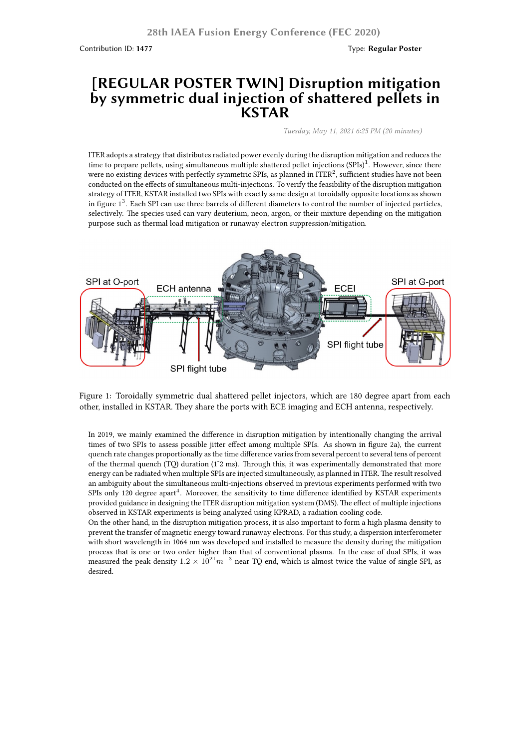Contribution ID: **1477** Type: **Regular Poster**

## **[REGULAR POSTER TWIN] Disruption mitigation by symmetric dual injection of shattered pellets in KSTAR**

*Tuesday, May 11, 2021 6:25 PM (20 minutes)*

ITER adopts a strategy that distributes radiated power evenly during the disruption mitigation and reduces the time to prepare pellets, using simultaneous multiple shattered pellet injections (SPIs)<sup>1</sup>. However, since there were no existing devices with perfectly symmetric SPIs, as planned in ITER $^2$ , sufficient studies have not been conducted on the effects of simultaneous multi-injections. To verify the feasibility of the disruption mitigation strategy of ITER, KSTAR installed two SPIs with exactly same design at toroidally opposite locations as shown in figure  $1<sup>3</sup>$ . Each SPI can use three barrels of different diameters to control the number of injected particles, selectively. The species used can vary deuterium, neon, argon, or their mixture depending on the mitigation purpose such as thermal load mitigation or runaway electron suppression/mitigation.



Figure 1: Toroidally symmetric dual shattered pellet injectors, which are 180 degree apart from each other, installed in KSTAR. They share the ports with ECE imaging and ECH antenna, respectively.

In 2019, we mainly examined the difference in disruption mitigation by intentionally changing the arrival times of two SPIs to assess possible jitter effect among multiple SPIs. As shown in figure 2a), the current quench rate changes proportionally as the time difference varies from several percent to several tens of percent of the thermal quench (TQ) duration (1˜2 ms). Through this, it was experimentally demonstrated that more energy can be radiated when multiple SPIs are injected simultaneously, as planned in ITER. The result resolved an ambiguity about the simultaneous multi-injections observed in previous experiments performed with two SPIs only 120 degree apart<sup>4</sup>. Moreover, the sensitivity to time difference identified by KSTAR experiments provided guidance in designing the ITER disruption mitigation system (DMS). The effect of multiple injections observed in KSTAR experiments is being analyzed using KPRAD, a radiation cooling code.

On the other hand, in the disruption mitigation process, it is also important to form a high plasma density to prevent the transfer of magnetic energy toward runaway electrons. For this study, a dispersion interferometer with short wavelength in 1064 nm was developed and installed to measure the density during the mitigation process that is one or two order higher than that of conventional plasma. In the case of dual SPIs, it was measured the peak density  $1.2 \times 10^{21} m^{-3}$  near TQ end, which is almost twice the value of single SPI, as desired.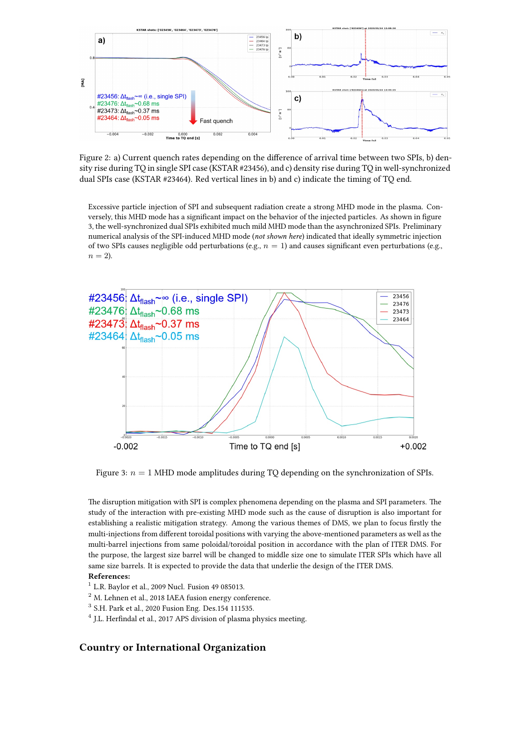

Figure 2: a) Current quench rates depending on the difference of arrival time between two SPIs, b) density rise during TQ in single SPI case (KSTAR #23456), and c) density rise during TQ in well-synchronized dual SPIs case (KSTAR #23464). Red vertical lines in b) and c) indicate the timing of TQ end.

Excessive particle injection of SPI and subsequent radiation create a strong MHD mode in the plasma. Conversely, this MHD mode has a significant impact on the behavior of the injected particles. As shown in figure 3, the well-synchronized dual SPIs exhibited much mild MHD mode than the asynchronized SPIs. Preliminary numerical analysis of the SPI-induced MHD mode (*not shown here*) indicated that ideally symmetric injection of two SPIs causes negligible odd perturbations (e.g., *n* = 1) and causes significant even perturbations (e.g.,  $n = 2$ ).



Figure 3:  $n = 1$  MHD mode amplitudes during TQ depending on the synchronization of SPIs.

The disruption mitigation with SPI is complex phenomena depending on the plasma and SPI parameters. The study of the interaction with pre-existing MHD mode such as the cause of disruption is also important for establishing a realistic mitigation strategy. Among the various themes of DMS, we plan to focus firstly the multi-injections from different toroidal positions with varying the above-mentioned parameters as well as the multi-barrel injections from same poloidal/toroidal position in accordance with the plan of ITER DMS. For the purpose, the largest size barrel will be changed to middle size one to simulate ITER SPIs which have all same size barrels. It is expected to provide the data that underlie the design of the ITER DMS.

## **References:**

- $1$  L.R. Baylor et al., 2009 Nucl. Fusion 49 085013.
- <sup>2</sup> M. Lehnen et al., 2018 IAEA fusion energy conference.
- 3 S.H. Park et al., 2020 Fusion Eng. Des.154 111535.
- <sup>4</sup> J.L. Herfindal et al., 2017 APS division of plasma physics meeting.

## **Country or International Organization**